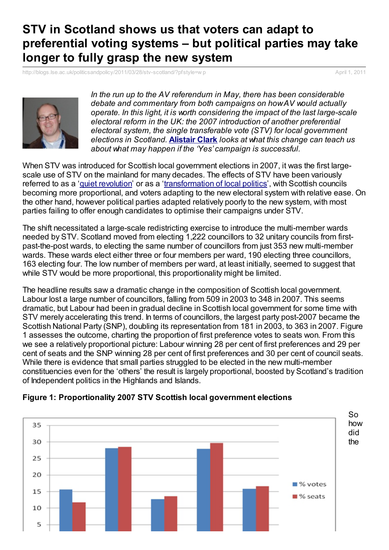## **STV in Scotland shows us that voters can adapt to preferential voting systems – but political parties may take longer to fully grasp the new system**

[http://blogs.lse.ac.uk/politicsandpolicy/2011/03/28/stv-scotland/?pfstyle=w](http://blogs.lse.ac.uk/politicsandpolicy/2011/03/28/stv-scotland/?pfstyle=wp) p April 1, 2011



*In the run up to the AV referendum in May, there has been considerable debate and commentary from both campaigns on howAV would actually operate. In this light, it is worth considering the impact of the last large-scale electoral reform in the UK: the 2007 introduction of another preferential electoral system, the single transferable vote (STV) for local government elections in Scotland.* **[Alistair](http://blogs.lse.ac.uk/politicsandpolicy/contributors/#Alistair_Clark) Clark** *looks at what this change can teach us about what may happen if the 'Yes' campaign is successful.*

When STV was introduced for Scottish local government elections in 2007, it was the first largescale use of STV on the mainland for many decades. The effects of STV have been variously referred to as a 'quiet [revolution](http://eprints.lincoln.ac.uk/2042/)' or as a '[transformation](http://www.ingentaconnect.com/content/routledg/rep/2008/00000044/00000003/art00003) of local politics', with Scottish councils becoming more proportional, and voters adapting to the new electoral system with relative ease. On the other hand, however political parties adapted relatively poorly to the new system, with most parties failing to offer enough candidates to optimise their campaigns under STV.

The shift necessitated a large-scale redistricting exercise to introduce the multi-member wards needed by STV. Scotland moved from electing 1,222 councillors to 32 unitary councils from firstpast-the-post wards, to electing the same number of councillors from just 353 new multi-member wards. These wards elect either three or four members per ward, 190 electing three councillors, 163 electing four. The low number of members per ward, at least initially, seemed to suggest that while STV would be more proportional, this proportionality might be limited.

The headline results saw a dramatic change in the composition of Scottish local government. Labour lost a large number of councillors, falling from 509 in 2003 to 348 in 2007. This seems dramatic, but Labour had been in gradual decline in Scottish local government for some time with STV merely accelerating this trend. In terms of councillors, the largest party post-2007 became the Scottish National Party (SNP), doubling its representation from 181 in 2003, to 363 in 2007. Figure 1 assesses the outcome, charting the proportion of first preference votes to seats won. From this we see a relatively proportional picture: Labour winning 28 per cent of first preferences and 29 per cent of seats and the SNP winning 28 per cent of first preferences and 30 per cent of council seats. While there is evidence that small parties struggled to be elected in the new multi-member constituencies even for the 'others' the result is largely proportional, boosted by Scotland's tradition of Independent politics in the Highlands and Islands.



## **Figure 1: Proportionality 2007 STV Scottish local government elections**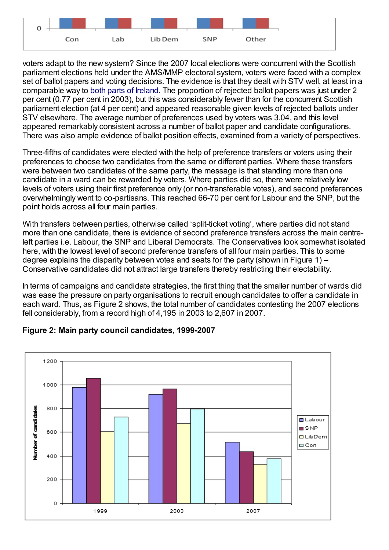

voters adapt to the new system? Since the 2007 local elections were concurrent with the Scottish parliament elections held under the AMS/MMP electoral system, voters were faced with a complex set of ballot papers and voting decisions. The evidence is that they dealt with STV well, at least in a comparable way to both parts of [Ireland](http://www.informaworld.com/smpp/content%7Edb=all%7Econtent=a913995787). The proportion of rejected ballot papers was just under 2 per cent (0.77 per cent in 2003), but this was considerably fewer than for the concurrent Scottish parliament election (at 4 per cent) and appeared reasonable given levels of rejected ballots under STV elsewhere. The average number of preferences used by voters was 3.04, and this level appeared remarkably consistent across a number of ballot paper and candidate configurations. There was also ample evidence of ballot position effects, examined from a variety of perspectives.

Three-fifths of candidates were elected with the help of preference transfers or voters using their preferences to choose two candidates from the same or different parties. Where these transfers were between two candidates of the same party, the message is that standing more than one candidate in a ward can be rewarded by voters. Where parties did so, there were relatively low levels of voters using their first preference only (or non-transferable votes), and second preferences overwhelmingly went to co-partisans. This reached 66-70 per cent for Labour and the SNP, but the point holds across all four main parties.

With transfers between parties, otherwise called 'split-ticket voting', where parties did not stand more than one candidate, there is evidence of second preference transfers across the main centreleft parties i.e. Labour, the SNP and Liberal Democrats. The Conservatives look somewhat isolated here, with the lowest level of second preference transfers of all four main parties. This to some degree explains the disparity between votes and seats for the party (shown in Figure 1) – Conservative candidates did not attract large transfers thereby restricting their electability.

In terms of campaigns and candidate strategies, the first thing that the smaller number of wards did was ease the pressure on party organisations to recruit enough candidates to offer a candidate in each ward. Thus, as Figure 2 shows, the total number of candidates contesting the 2007 elections fell considerably, from a record high of 4,195 in 2003 to 2,607 in 2007.



## **Figure 2: Main party council candidates, 1999-2007**